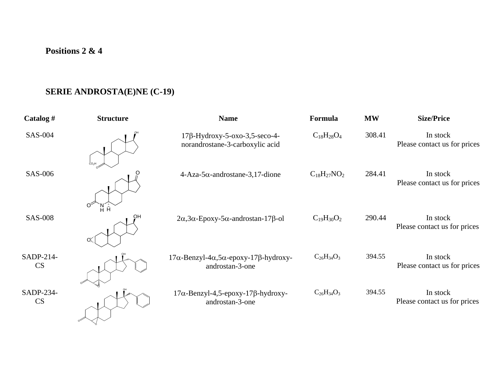## **Positions 2 & 4**

or Y

## **SERIE ANDROSTA(E)NE (C-19)**

| Catalog $#$            | <b>Structure</b>        | <b>Name</b>                                                             | Formula            | <b>MW</b> | <b>Size/Price</b>                        |
|------------------------|-------------------------|-------------------------------------------------------------------------|--------------------|-----------|------------------------------------------|
| SAS-004                |                         | $17\beta$ -Hydroxy-5-oxo-3,5-seco-4-<br>norandrostane-3-carboxylic acid | $C_{18}H_{28}O_4$  | 308.41    | In stock<br>Please contact us for prices |
| SAS-006                | CO <sub>2</sub> H       | $4-Aza-5\alpha$ -androstane-3,17-dione                                  | $C_{18}H_{27}NO_2$ | 284.41    | In stock<br>Please contact us for prices |
| <b>SAS-008</b>         | Ő<br>Å<br>Ĥ.<br>OH<br>O | $2\alpha$ , $3\alpha$ -Epoxy- $5\alpha$ -androstan-17 $\beta$ -ol       | $C_{19}H_{30}O_2$  | 290.44    | In stock<br>Please contact us for prices |
| SADP-214-<br><b>CS</b> |                         | $17\alpha$ -Benzyl-4α,5α-epoxy-17β-hydroxy-<br>androstan-3-one          | $C_{26}H_{34}O_3$  | 394.55    | In stock<br>Please contact us for prices |
| SADP-234-<br>CS        |                         | $17\alpha$ -Benzyl-4,5-epoxy-17 $\beta$ -hydroxy-<br>androstan-3-one    | $C_{26}H_{34}O_3$  | 394.55    | In stock<br>Please contact us for prices |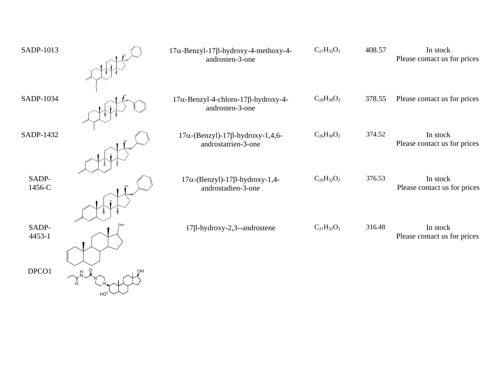| SADP-1013       | $17\alpha$ -Benzyl-17 $\beta$ -hydroxy-4-methoxy-4-<br>androsten-3-one | $C_{27}H_{35}O_3$ | 408.57 | In stock<br>Please contact us for prices |
|-----------------|------------------------------------------------------------------------|-------------------|--------|------------------------------------------|
| SADP-1034       | 17α-Benzyl-4-chloro-17β-hydroxy-4-<br>androsten-3-one                  | $C_{28}H_{38}O_2$ | 378.55 | Please contact us for prices             |
| SADP-1432       | $17\alpha$ -(Benzyl)-17 $\beta$ -hydroxy-1,4,6-<br>androstatrien-3-one | $C_{26}H_{30}O_2$ | 374.52 | In stock<br>Please contact us for prices |
| SADP-<br>1456-C | $17\alpha$ -(Benzyl)-17 $\beta$ -hydroxy-1,4-<br>androstadien-3-one    | $C_{26}H_{32}O_2$ | 376.53 | In stock<br>Please contact us for prices |
| SADP-<br>4453-1 | $17\beta$ -hydroxy-2,3--androstene                                     | $C_{21}H_{32}O_2$ | 316.48 | In stock<br>Please contact us for prices |
| DPCO1           |                                                                        |                   |        |                                          |

HO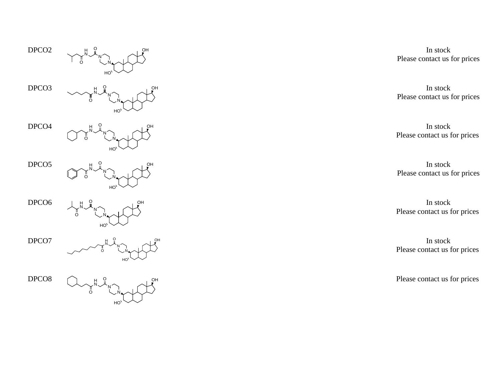$DPCO2$ 



DPCO<sub>3</sub>



DPCO4



DPCO5



DPCO<sub>6</sub>



DPCO7



DPCO8



In stock Please contact us for prices

In stock Please contact us for prices

In stock Please contact us for prices

In stock Please contact us for prices

In stock Please contact us for prices

In stock Please contact us for prices

Please contact us for prices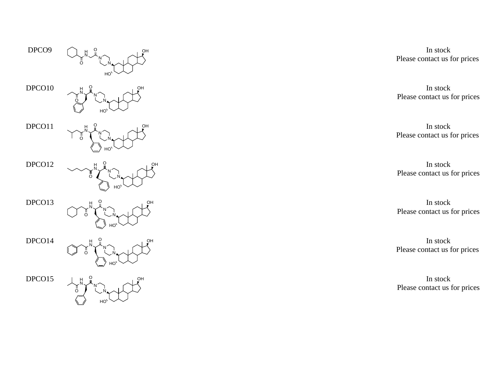DPCO<sub>9</sub>



 $DPCO10$ 



 $DPCO11$ 



 $DPCO12$ 



DPCO13



 $DPCO14$ 



 $DPCO15$ 



In stock Please contact us for prices

In stock Please contact us for prices

In stock Please contact us for prices

In stock Please contact us for prices

In stock Please contact us for prices

In stock Please contact us for prices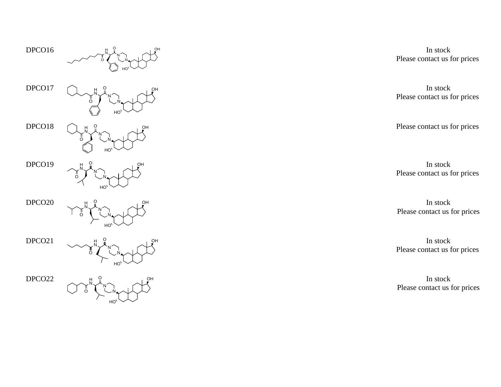$DPCO16$ 



DPCO17



 $DPCO18$ 



DPCO19



 $DPCO20$ 



 $DPCO21$ 



 $DPCO22$ 



In stock Please contact us for prices

In stock Please contact us for prices

Please contact us for prices

In stock Please contact us for prices

In stock Please contact us for prices

In stock Please contact us for prices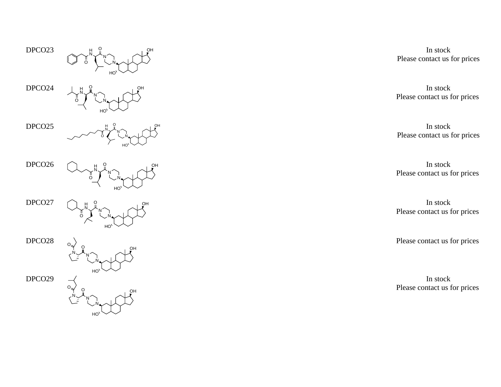DPCO23 HONNO HNO

 $DPCO24$ 



 $DPCO25$ 



 $DPCO26$ 



DPCO27



DPCO28



DPCO29



In stock Please contact us for prices

In stock Please contact us for prices

In stock Please contact us for prices

In stock Please contact us for prices

In stock Please contact us for prices

Please contact us for prices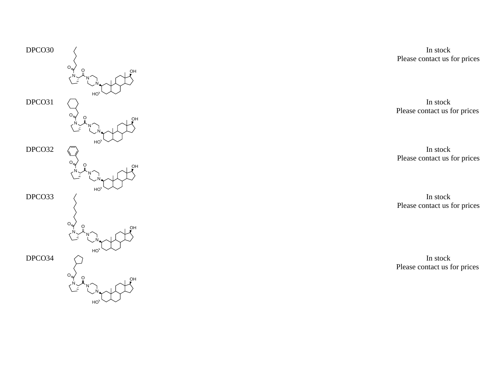

In stock Please contact us for prices

In stock Please contact us for prices

In stock Please contact us for prices

In stock Please contact us for prices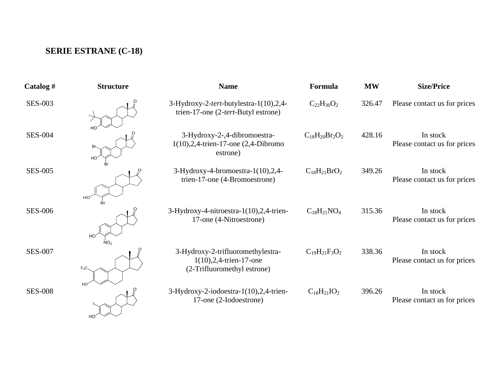## **SERIE ESTRANE (C-18)**

| Catalog #      | <b>Structure</b>      | <b>Name</b>                                                                                     | Formula               | <b>MW</b> | <b>Size/Price</b>                        |
|----------------|-----------------------|-------------------------------------------------------------------------------------------------|-----------------------|-----------|------------------------------------------|
| <b>SES-003</b> |                       | 3-Hydroxy-2-tert-butylestra-1(10),2,4-<br>trien-17-one (2-tert-Butyl estrone)                   | $C_{22}H_{30}O_2$     | 326.47    | Please contact us for prices             |
| <b>SES-004</b> | Br<br>HO <sup>®</sup> | 3-Hydroxy-2-,4-dibromoestra-<br>$1(10),2,4$ -trien-17-one (2,4-Dibromo<br>estrone)              | $C_{18}H_{20}Br_2O_2$ | 428.16    | In stock<br>Please contact us for prices |
| <b>SES-005</b> | HO<br>Br              | $3-Hydroxy-4-bromoestra-1(10),2,4-$<br>trien-17-one (4-Bromoestrone)                            | $C_{18}H_{21}BrO_2$   | 349.26    | In stock<br>Please contact us for prices |
| <b>SES-006</b> | HO<br>NO-             | 3-Hydroxy-4-nitroestra-1(10),2,4-trien-<br>17-one (4-Nitroestrone)                              | $C_{18}H_{21}NO_4$    | 315.36    | In stock<br>Please contact us for prices |
| <b>SES-007</b> | $F_3C_3$              | 3-Hydroxy-2-trifluoromethylestra-<br>$1(10), 2, 4$ -trien-17-one<br>(2-Trifluoromethyl estrone) | $C_{19}H_{21}F_3O_2$  | 338.36    | In stock<br>Please contact us for prices |
| <b>SES-008</b> | HO <sup>®</sup><br>HO | 3-Hydroxy-2-iodoestra-1(10),2,4-trien-<br>17-one (2-Iodoestrone)                                | $C_{18}H_{21}IO_2$    | 396.26    | In stock<br>Please contact us for prices |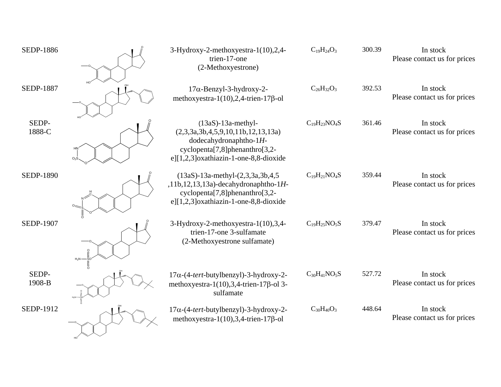| <b>SEDP-1886</b> |          | 3-Hydroxy-2-methoxyestra-1(10),2,4-<br>trien-17-one<br>(2-Methoxyestrone)                                                                                                                        | $C_{19}H_{24}O_3$   | 300.39 | In stock<br>Please contact us for prices |
|------------------|----------|--------------------------------------------------------------------------------------------------------------------------------------------------------------------------------------------------|---------------------|--------|------------------------------------------|
| <b>SEDP-1887</b> |          | $17\alpha$ -Benzyl-3-hydroxy-2-<br>methoxyestra-1(10),2,4-trien-17 $\beta$ -ol                                                                                                                   | $C_{26}H_{32}O_3$   | 392.53 | In stock<br>Please contact us for prices |
| SEDP-<br>1888-C  |          | $(13aS)-13a$ -methyl-<br>(2,3,3a,3b,4,5,9,10,11b,12,13,13a)<br>dodecahydronaphtho- $1H$ -<br>cyclopenta <sup>[7,8]</sup> phenanthro <sup>[3,2-1</sup> ]<br>e][1,2,3]oxathiazin-1-one-8,8-dioxide | $C_{19}H_{23}NO_4S$ | 361.46 | In stock<br>Please contact us for prices |
| <b>SEDP-1890</b> |          | $(13aS) - 13a$ -methyl- $(2,3,3a,3b,4,5)$<br>,11b,12,13,13a)-decahydronaphtho-1 $H$ -<br>$cyclopenta[7,8]phenanthro[3,2-$<br>e][1,2,3]oxathiazin-1-one-8,8-dioxide                               | $C_{19}H_{21}NO_4S$ | 359.44 | In stock<br>Please contact us for prices |
| <b>SEDP-1907</b> | $H_2N$ - | 3-Hydroxy-2-methoxyestra-1(10),3,4-<br>trien-17-one 3-sulfamate<br>(2-Methoxyestrone sulfamate)                                                                                                  | $C_{19}H_{25}NO_5S$ | 379.47 | In stock<br>Please contact us for prices |
| SEDP-<br>1908-B  |          | $17\alpha$ -(4-tert-butylbenzyl)-3-hydroxy-2-<br>methoxyestra-1(10), 3, 4-trien-17 $\beta$ -ol 3-<br>sulfamate                                                                                   | $C_{30}H_{41}NO_5S$ | 527.72 | In stock<br>Please contact us for prices |
| SEDP-1912        |          | $17\alpha$ -(4-tert-butylbenzyl)-3-hydroxy-2-<br>methoxyestra-1(10), 3, 4-trien-17 $\beta$ -ol                                                                                                   | $C_{30}H_{40}O_3$   | 448.64 | In stock<br>Please contact us for prices |

HO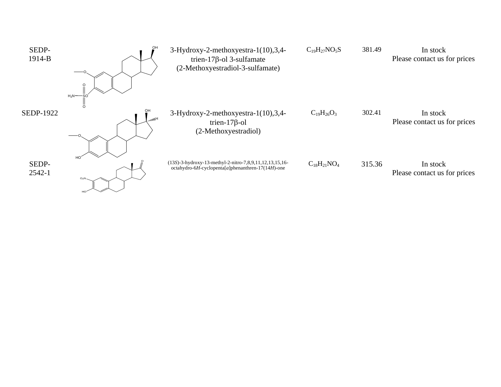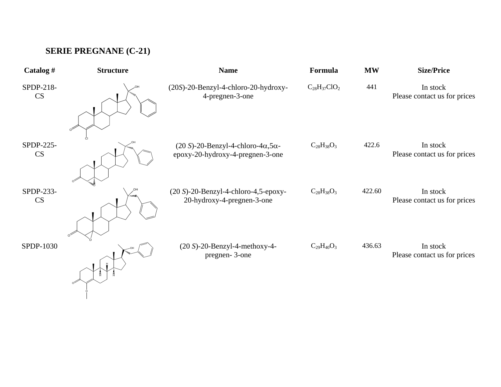## **SERIE PREGNANE (C-21)**

O

| Catalog#        | <b>Structure</b> | <b>Name</b>                                                                               | Formula             | <b>MW</b> | <b>Size/Price</b>                        |
|-----------------|------------------|-------------------------------------------------------------------------------------------|---------------------|-----------|------------------------------------------|
| SPDP-218-<br>CS |                  | (20S)-20-Benzyl-4-chloro-20-hydroxy-<br>4-pregnen-3-one                                   | $C_{28}H_{37}ClO_2$ | 441       | In stock<br>Please contact us for prices |
| SPDP-225-<br>CS |                  | $(20 S)$ -20-Benzyl-4-chloro-4 $\alpha$ ,5 $\alpha$ -<br>epoxy-20-hydroxy-4-pregnen-3-one | $C_{28}H_{38}O_3$   | 422.6     | In stock<br>Please contact us for prices |
| SPDP-233-<br>CS | հայրի            | $(20 S)$ -20-Benzyl-4-chloro-4,5-epoxy-<br>20-hydroxy-4-pregnen-3-one                     | $C_{28}H_{38}O_3$   | 422.60    | In stock<br>Please contact us for prices |
| SPDP-1030       |                  | $(20 S)-20$ -Benzyl-4-methoxy-4-<br>pregnen-3-one                                         | $C_{29}H_{40}O_3$   | 436.63    | In stock<br>Please contact us for prices |